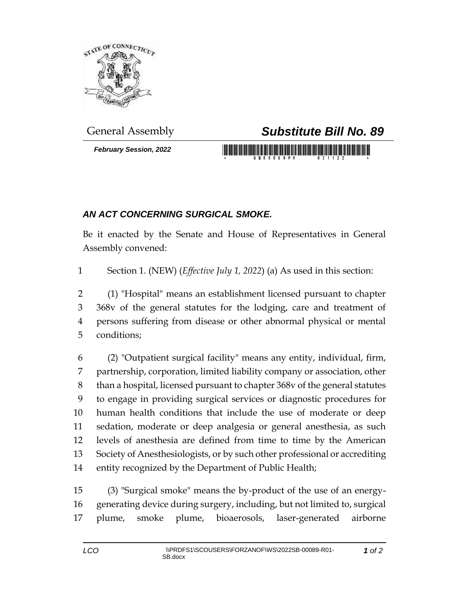

*February Session, 2022*

## General Assembly *Substitute Bill No. 89*

## *AN ACT CONCERNING SURGICAL SMOKE.*

Be it enacted by the Senate and House of Representatives in General Assembly convened:

Section 1. (NEW) (*Effective July 1, 2022*) (a) As used in this section:

 (1) "Hospital" means an establishment licensed pursuant to chapter 368v of the general statutes for the lodging, care and treatment of persons suffering from disease or other abnormal physical or mental conditions;

 (2) "Outpatient surgical facility" means any entity, individual, firm, partnership, corporation, limited liability company or association, other than a hospital, licensed pursuant to chapter 368v of the general statutes to engage in providing surgical services or diagnostic procedures for human health conditions that include the use of moderate or deep sedation, moderate or deep analgesia or general anesthesia, as such levels of anesthesia are defined from time to time by the American Society of Anesthesiologists, or by such other professional or accrediting entity recognized by the Department of Public Health;

 (3) "Surgical smoke" means the by-product of the use of an energy- generating device during surgery, including, but not limited to, surgical plume, smoke plume, bioaerosols, laser-generated airborne